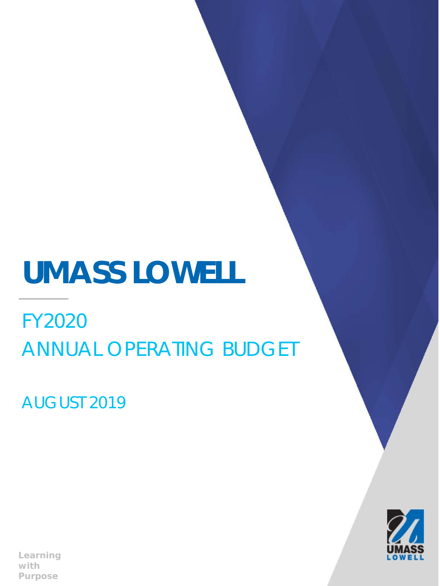# **UMASS LOWELL**

FY2020 ANNUAL OPERATING BUDGET

AUGUST 2019

*Learning with Purpose*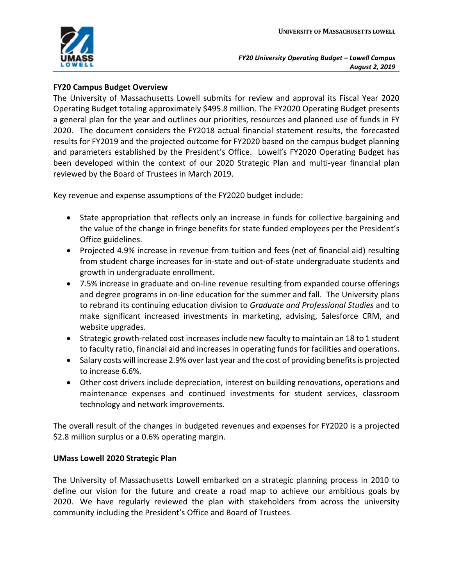

## **FY20 Campus Budget Overview**

The University of Massachusetts Lowell submits for review and approval its Fiscal Year 2020 Operating Budget totaling approximately \$495.8 million. The FY2020 Operating Budget presents a general plan for the year and outlines our priorities, resources and planned use of funds in FY 2020. The document considers the FY2018 actual financial statement results, the forecasted results for FY2019 and the projected outcome for FY2020 based on the campus budget planning and parameters established by the President's Office. Lowell's FY2020 Operating Budget has been developed within the context of our 2020 Strategic Plan and multi-year financial plan reviewed by the Board of Trustees in March 2019.

Key revenue and expense assumptions of the FY2020 budget include:

- State appropriation that reflects only an increase in funds for collective bargaining and the value of the change in fringe benefits for state funded employees per the President's Office guidelines.
- Projected 4.9% increase in revenue from tuition and fees (net of financial aid) resulting from student charge increases for in-state and out-of-state undergraduate students and growth in undergraduate enrollment.
- 7.5% increase in graduate and on-line revenue resulting from expanded course offerings and degree programs in on-line education for the summer and fall. The University plans to rebrand its continuing education division to *Graduate and Professional Studies* and to make significant increased investments in marketing, advising, Salesforce CRM, and website upgrades.
- Strategic growth-related cost increases include new faculty to maintain an 18 to 1 student to faculty ratio, financial aid and increases in operating funds for facilities and operations.
- Salary costs will increase 2.9% over last year and the cost of providing benefits is projected to increase 6.6%.
- Other cost drivers include depreciation, interest on building renovations, operations and maintenance expenses and continued investments for student services, classroom technology and network improvements.

The overall result of the changes in budgeted revenues and expenses for FY2020 is a projected \$2.8 million surplus or a 0.6% operating margin.

### **UMass Lowell 2020 Strategic Plan**

The University of Massachusetts Lowell embarked on a strategic planning process in 2010 to define our vision for the future and create a road map to achieve our ambitious goals by 2020. We have regularly reviewed the plan with stakeholders from across the university community including the President's Office and Board of Trustees.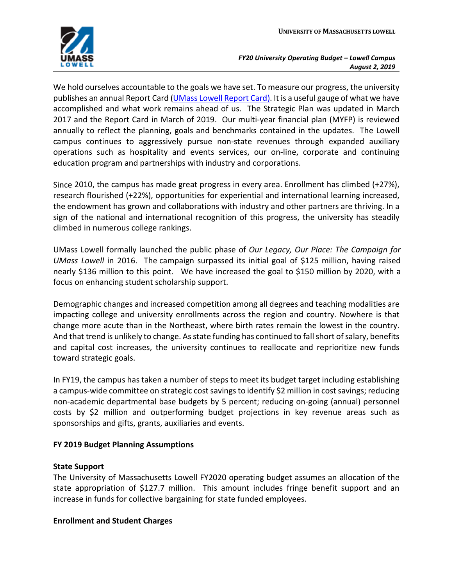

We hold ourselves accountable to the goals we have set. To measure our progress, the university publishes an annual Report Card ([UMass Lowell Report Card\)](https://www.uml.edu/2020/documents.aspx). It is a useful gauge of what we have accomplished and what work remains ahead of us. The Strategic Plan was updated in March 2017 and the Report Card in March of 2019. Our multi-year financial plan (MYFP) is reviewed annually to reflect the planning, goals and benchmarks contained in the updates. The Lowell campus continues to aggressively pursue non-state revenues through expanded auxiliary operations such as hospitality and events services, our on-line, corporate and continuing education program and partnerships with industry and corporations.

Since 2010, the campus has made great progress in every area. Enrollment has climbed (+27%), research flourished (+22%), opportunities for experiential and international learning increased, the endowment has grown and collaborations with industry and other partners are thriving. In a sign of the national and international recognition of this progress, the university has steadily climbed in numerous college rankings.

UMass Lowell formally launched the public phase of *Our Legacy, Our Place: The Campaign for UMass Lowell* in 2016. The campaign surpassed its initial goal of \$125 million, having raised nearly \$136 million to this point. We have increased the goal to \$150 million by 2020, with a focus on enhancing student scholarship support.

Demographic changes and increased competition among all degrees and teaching modalities are impacting college and university enrollments across the region and country. Nowhere is that change more acute than in the Northeast, where birth rates remain the lowest in the country. And that trend is unlikely to change. As state funding has continued to fall short of salary, benefits and capital cost increases, the university continues to reallocate and reprioritize new funds toward strategic goals.

In FY19, the campus has taken a number of steps to meet its budget target including establishing a campus-wide committee on strategic cost savings to identify \$2 million in cost savings; reducing non-academic departmental base budgets by 5 percent; reducing on-going (annual) personnel costs by \$2 million and outperforming budget projections in key revenue areas such as sponsorships and gifts, grants, auxiliaries and events.

# **FY 2019 Budget Planning Assumptions**

### **State Support**

The University of Massachusetts Lowell FY2020 operating budget assumes an allocation of the state appropriation of \$127.7 million. This amount includes fringe benefit support and an increase in funds for collective bargaining for state funded employees.

### **Enrollment and Student Charges**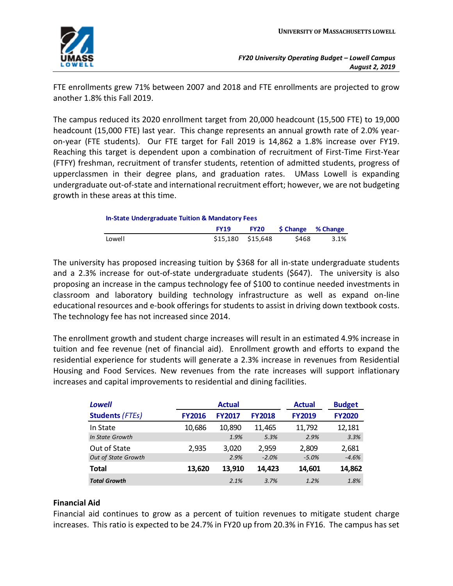FTE enrollments grew 71% between 2007 and 2018 and FTE enrollments are projected to grow another 1.8% this Fall 2019.

The campus reduced its 2020 enrollment target from 20,000 headcount (15,500 FTE) to 19,000 headcount (15,000 FTE) last year. This change represents an annual growth rate of 2.0% yearon-year (FTE students). Our FTE target for Fall 2019 is 14,862 a 1.8% increase over FY19. Reaching this target is dependent upon a combination of recruitment of First-Time First-Year (FTFY) freshman, recruitment of transfer students, retention of admitted students, progress of upperclassmen in their degree plans, and graduation rates. UMass Lowell is expanding undergraduate out-of-state and international recruitment effort; however, we are not budgeting growth in these areas at this time.

| <b>In-State Undergraduate Tuition &amp; Mandatory Fees</b> |                   |             |                          |      |  |  |  |  |
|------------------------------------------------------------|-------------------|-------------|--------------------------|------|--|--|--|--|
|                                                            | <b>FY19</b>       | <b>FY20</b> | <b>S Change</b> % Change |      |  |  |  |  |
| Lowell                                                     | \$15.180 \$15.648 |             | \$468                    | 3.1% |  |  |  |  |

The university has proposed increasing tuition by \$368 for all in-state undergraduate students and a 2.3% increase for out-of-state undergraduate students (\$647). The university is also proposing an increase in the campus technology fee of \$100 to continue needed investments in classroom and laboratory building technology infrastructure as well as expand on-line educational resources and e-book offerings for students to assist in driving down textbook costs. The technology fee has not increased since 2014.

The enrollment growth and student charge increases will result in an estimated 4.9% increase in tuition and fee revenue (net of financial aid). Enrollment growth and efforts to expand the residential experience for students will generate a 2.3% increase in revenues from Residential Housing and Food Services. New revenues from the rate increases will support inflationary increases and capital improvements to residential and dining facilities.

| Lowell                     |               | <b>Actual</b> | <b>Actual</b> | <b>Budget</b> |               |
|----------------------------|---------------|---------------|---------------|---------------|---------------|
| <b>Students (FTEs)</b>     | <b>FY2016</b> | <b>FY2017</b> | <b>FY2018</b> | <b>FY2019</b> | <b>FY2020</b> |
| In State                   | 10,686        | 10,890        | 11,465        | 11,792        | 12,181        |
| In State Growth            |               | 1.9%          | 5.3%          | 2.9%          | 3.3%          |
| Out of State               | 2.935         | 3,020         | 2,959         | 2.809         | 2,681         |
| <b>Out of State Growth</b> |               | 2.9%          | $-2.0%$       | $-5.0%$       | $-4.6%$       |
| <b>Total</b>               | 13,620        | 13.910        | 14.423        | 14,601        | 14,862        |
| <b>Total Growth</b>        |               | 2.1%          | 3.7%          | 1.2%          | 1.8%          |

# **Financial Aid**

Financial aid continues to grow as a percent of tuition revenues to mitigate student charge increases. This ratio is expected to be 24.7% in FY20 up from 20.3% in FY16. The campus has set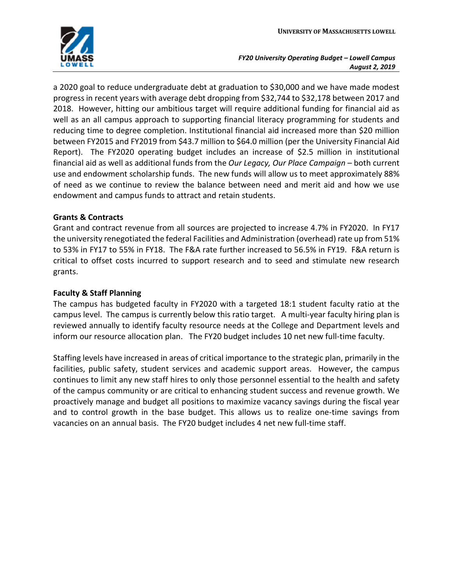

a 2020 goal to reduce undergraduate debt at graduation to \$30,000 and we have made modest progress in recent years with average debt dropping from \$32,744 to \$32,178 between 2017 and 2018. However, hitting our ambitious target will require additional funding for financial aid as well as an all campus approach to supporting financial literacy programming for students and reducing time to degree completion. Institutional financial aid increased more than \$20 million between FY2015 and FY2019 from \$43.7 million to \$64.0 million (per the University Financial Aid Report). The FY2020 operating budget includes an increase of \$2.5 million in institutional financial aid as well as additional funds from the *Our Legacy, Our Place Campaign* – both current use and endowment scholarship funds. The new funds will allow us to meet approximately 88% of need as we continue to review the balance between need and merit aid and how we use endowment and campus funds to attract and retain students.

# **Grants & Contracts**

Grant and contract revenue from all sources are projected to increase 4.7% in FY2020. In FY17 the university renegotiated the federal Facilities and Administration (overhead) rate up from 51% to 53% in FY17 to 55% in FY18. The F&A rate further increased to 56.5% in FY19. F&A return is critical to offset costs incurred to support research and to seed and stimulate new research grants.

### **Faculty & Staff Planning**

The campus has budgeted faculty in FY2020 with a targeted 18:1 student faculty ratio at the campus level. The campus is currently below this ratio target. A multi-year faculty hiring plan is reviewed annually to identify faculty resource needs at the College and Department levels and inform our resource allocation plan. The FY20 budget includes 10 net new full-time faculty.

Staffing levels have increased in areas of critical importance to the strategic plan, primarily in the facilities, public safety, student services and academic support areas. However, the campus continues to limit any new staff hires to only those personnel essential to the health and safety of the campus community or are critical to enhancing student success and revenue growth. We proactively manage and budget all positions to maximize vacancy savings during the fiscal year and to control growth in the base budget. This allows us to realize one-time savings from vacancies on an annual basis. The FY20 budget includes 4 net new full-time staff.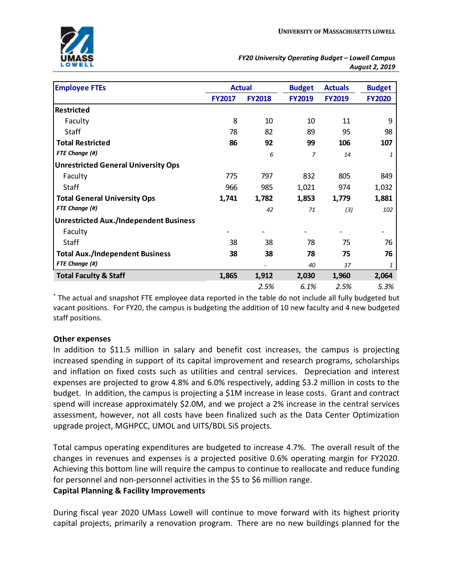| <b>Employee FTEs</b>                          | <b>Actual</b> |               | <b>Budget</b> | <b>Actuals</b> | <b>Budget</b> |
|-----------------------------------------------|---------------|---------------|---------------|----------------|---------------|
|                                               | <b>FY2017</b> | <b>FY2018</b> | <b>FY2019</b> | <b>FY2019</b>  | <b>FY2020</b> |
| Restricted                                    |               |               |               |                |               |
| Faculty                                       | 8             | 10            | 10            | 11             | 9             |
| Staff                                         | 78            | 82            | 89            | 95             | 98            |
| <b>Total Restricted</b>                       | 86            | 92            | 99            | 106            | 107           |
| FTE Change (#)                                |               | 6             | 7             | 14             | 1             |
| <b>Unrestricted General University Ops</b>    |               |               |               |                |               |
| Faculty                                       | 775           | 797           | 832           | 805            | 849           |
| Staff                                         | 966           | 985           | 1,021         | 974            | 1,032         |
| <b>Total General University Ops</b>           | 1,741         | 1,782         | 1,853         | 1,779          | 1,881         |
| FTE Change (#)                                |               | 42            | 71            | (3)            | 102           |
| <b>Unrestricted Aux./Independent Business</b> |               |               |               |                |               |
| Faculty                                       |               |               |               |                |               |
| Staff                                         | 38            | 38            | 78            | 75             | 76            |
| <b>Total Aux./Independent Business</b>        | 38            | 38            | 78            | 75             | 76            |
| FTE Change (#)                                |               |               | 40            | 37             | 1             |
| <b>Total Faculty &amp; Staff</b>              | 1,865         | 1,912         | 2,030         | 1,960          | 2,064         |
|                                               |               | 2.5%          | 6.1%          | 2.5%           | 5.3%          |

\* The actual and snapshot FTE employee data reported in the table do not include all fully budgeted but vacant positions. For FY20, the campus is budgeting the addition of 10 new faculty and 4 new budgeted staff positions.

### **Other expenses**

In addition to \$11.5 million in salary and benefit cost increases, the campus is projecting increased spending in support of its capital improvement and research programs, scholarships and inflation on fixed costs such as utilities and central services. Depreciation and interest expenses are projected to grow 4.8% and 6.0% respectively, adding \$3.2 million in costs to the budget. In addition, the campus is projecting a \$1M increase in lease costs. Grant and contract spend will increase approximately \$2.0M, and we project a 2% increase in the central services assessment, however, not all costs have been finalized such as the Data Center Optimization upgrade project, MGHPCC, UMOL and UITS/BDL SiS projects.

Total campus operating expenditures are budgeted to increase 4.7%. The overall result of the changes in revenues and expenses is a projected positive 0.6% operating margin for FY2020. Achieving this bottom line will require the campus to continue to reallocate and reduce funding for personnel and non-personnel activities in the \$5 to \$6 million range. **Capital Planning & Facility Improvements**

During fiscal year 2020 UMass Lowell will continue to move forward with its highest priority capital projects, primarily a renovation program. There are no new buildings planned for the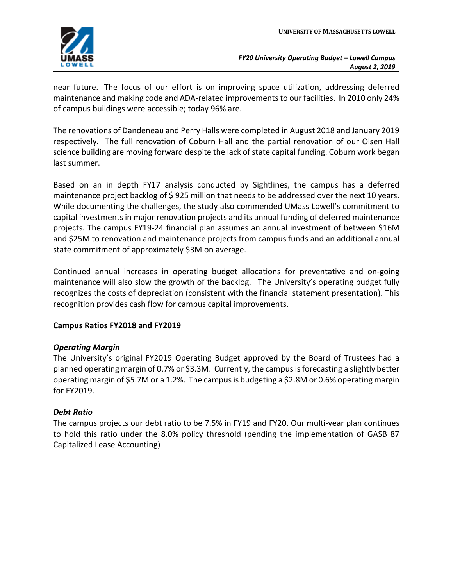

near future. The focus of our effort is on improving space utilization, addressing deferred maintenance and making code and ADA-related improvements to our facilities. In 2010 only 24% of campus buildings were accessible; today 96% are.

The renovations of Dandeneau and Perry Halls were completed in August 2018 and January 2019 respectively. The full renovation of Coburn Hall and the partial renovation of our Olsen Hall science building are moving forward despite the lack of state capital funding. Coburn work began last summer.

Based on an in depth FY17 analysis conducted by Sightlines, the campus has a deferred maintenance project backlog of \$925 million that needs to be addressed over the next 10 years. While documenting the challenges, the study also commended UMass Lowell's commitment to capital investments in major renovation projects and its annual funding of deferred maintenance projects. The campus FY19-24 financial plan assumes an annual investment of between \$16M and \$25M to renovation and maintenance projects from campus funds and an additional annual state commitment of approximately \$3M on average.

Continued annual increases in operating budget allocations for preventative and on-going maintenance will also slow the growth of the backlog. The University's operating budget fully recognizes the costs of depreciation (consistent with the financial statement presentation). This recognition provides cash flow for campus capital improvements.

# **Campus Ratios FY2018 and FY2019**

### *Operating Margin*

The University's original FY2019 Operating Budget approved by the Board of Trustees had a planned operating margin of 0.7% or \$3.3M. Currently, the campus isforecasting a slightly better operating margin of \$5.7M or a 1.2%. The campus is budgeting a \$2.8M or 0.6% operating margin for FY2019.

### *Debt Ratio*

The campus projects our debt ratio to be 7.5% in FY19 and FY20. Our multi-year plan continues to hold this ratio under the 8.0% policy threshold (pending the implementation of GASB 87 Capitalized Lease Accounting)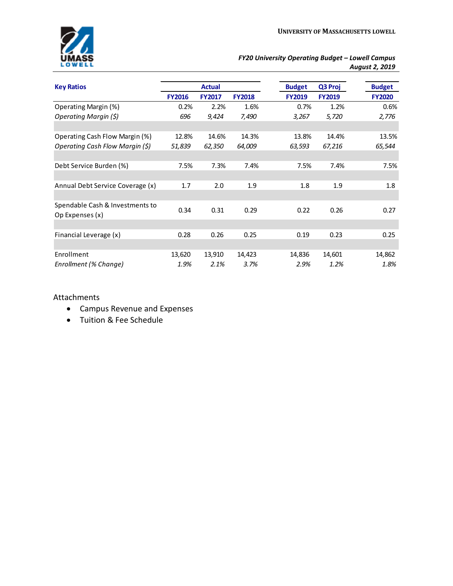| <b>Key Ratios</b>                |               | <b>Actual</b> |               | <b>Budget</b> | Q3 Proj       | <b>Budget</b> |
|----------------------------------|---------------|---------------|---------------|---------------|---------------|---------------|
|                                  | <b>FY2016</b> | <b>FY2017</b> | <b>FY2018</b> | <b>FY2019</b> | <b>FY2019</b> | <b>FY2020</b> |
| Operating Margin (%)             | 0.2%          | 2.2%          | 1.6%          | 0.7%          | 1.2%          | 0.6%          |
| Operating Margin (\$)            | 696           | 9,424         | 7,490         | 3,267         | 5,720         | 2,776         |
|                                  |               |               |               |               |               |               |
| Operating Cash Flow Margin (%)   | 12.8%         | 14.6%         | 14.3%         | 13.8%         | 14.4%         | 13.5%         |
| Operating Cash Flow Margin (\$)  | 51,839        | 62,350        | 64,009        | 63,593        | 67,216        | 65,544        |
|                                  |               |               |               |               |               |               |
| Debt Service Burden (%)          | 7.5%          | 7.3%          | 7.4%          | 7.5%          | 7.4%          | 7.5%          |
|                                  |               |               |               |               |               |               |
| Annual Debt Service Coverage (x) | 1.7           | 2.0           | 1.9           | 1.8           | 1.9           | 1.8           |
|                                  |               |               |               |               |               |               |
| Spendable Cash & Investments to  |               |               |               |               |               |               |
| Op Expenses (x)                  | 0.34          | 0.31          | 0.29          | 0.22          | 0.26          | 0.27          |
|                                  |               |               |               |               |               |               |
| Financial Leverage (x)           | 0.28          | 0.26          | 0.25          | 0.19          | 0.23          | 0.25          |
|                                  |               |               |               |               |               |               |
| Enrollment                       | 13,620        | 13,910        | 14,423        | 14,836        | 14,601        | 14,862        |
| Enrollment (% Change)            | 1.9%          | 2.1%          | 3.7%          | 2.9%          | 1.2%          | 1.8%          |
|                                  |               |               |               |               |               |               |

### Attachments

- Campus Revenue and Expenses
- Tuition & Fee Schedule